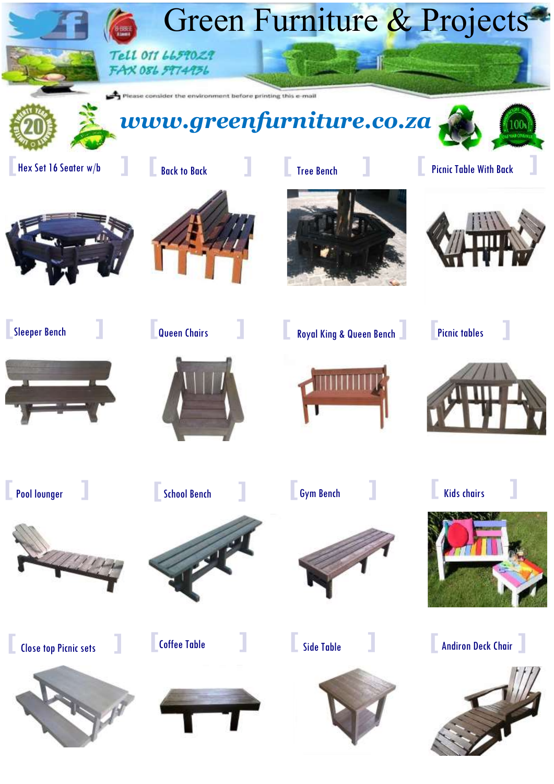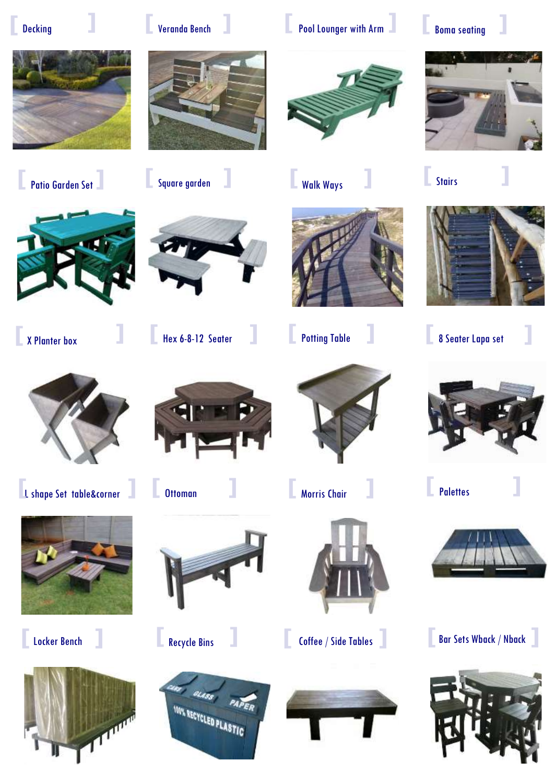**[**

















**[** Locker Bench **]**











































Decking **] [** Veranda Bench **] [** Pool Lounger with Arm **] [** Boma seating **]**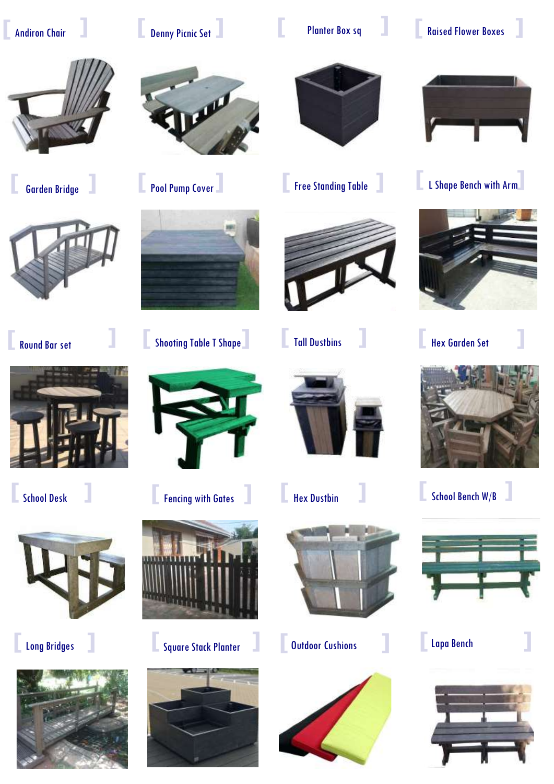**[**









**[** Long Bridges **]**







**[** Round Bar set **] [** Shooting Table T Shape**] [** Tall Dustbins **] [** Hex Garden Set **]**



**Example 5 Assume A Fencing with Gates discussed by Hex Dustbin <b>Example 2** School Bench W/B



**constructs** Square Stack Planter **and Square Stack Planter <b>and A** Dutdoor Cushions **and Lapa Bench 2** 





















Andiron Chair **] [** Denny Picnic Set **] [** Planter Box sq **] [** Raised Flower Boxes **]**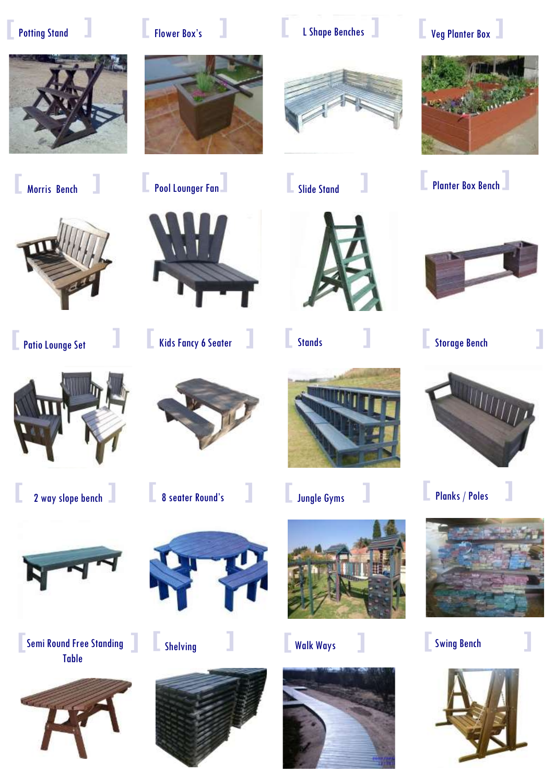**[**







**[** 2 way slope bench **] [** 8 seater Round's **] [** Jungle Gyms **] [** Planks / Poles





**[** Kids Fancy 6 Seater **] [** Stands **] [** Storage Bench **[** Patio Lounge Set **]**









Semi Round Free Standing **[ ]**Table





**[** Shelving **] [** Walk Ways **] [** Swing Bench











**[** Morris Bench **] [** Pool Lounger Fan**] [** Planter Box Bench**] [** Slide Stand **]**



**]**





**]**

**]**